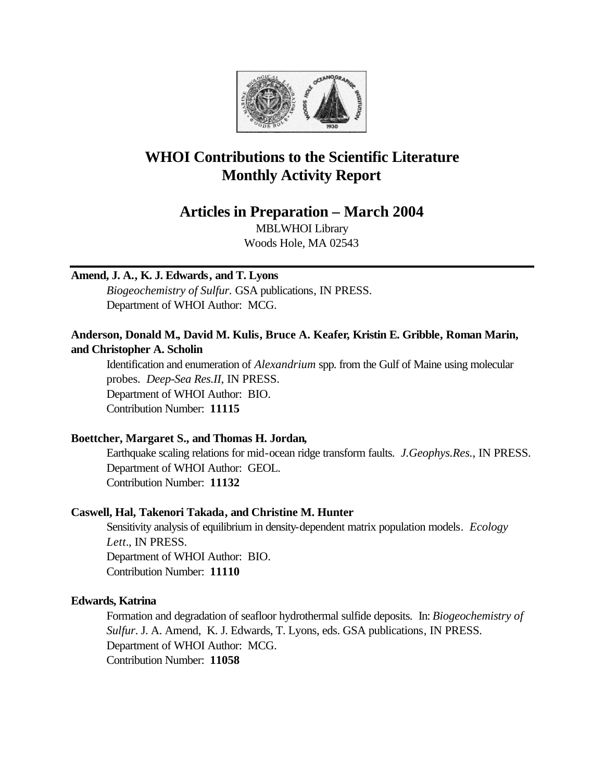

# **WHOI Contributions to the Scientific Literature Monthly Activity Report**

## **Articles in Preparation – March 2004**

MBLWHOI Library Woods Hole, MA 02543

## **Amend, J. A., K. J. Edwards, and T. Lyons**

*Biogeochemistry of Sulfur.* GSA publications, IN PRESS. Department of WHOI Author: MCG.

## **Anderson, Donald M., David M. Kulis, Bruce A. Keafer, Kristin E. Gribble, Roman Marin, and Christopher A. Scholin**

Identification and enumeration of *Alexandrium* spp. from the Gulf of Maine using molecular probes. *Deep-Sea Res.II*, IN PRESS. Department of WHOI Author: BIO. Contribution Number: **11115**

## **Boettcher, Margaret S., and Thomas H. Jordan,**

Earthquake scaling relations for mid-ocean ridge transform faults. *J.Geophys.Res.*, IN PRESS. Department of WHOI Author: GEOL. Contribution Number: **11132**

## **Caswell, Hal, Takenori Takada, and Christine M. Hunter**

Sensitivity analysis of equilibrium in density-dependent matrix population models. *Ecology Lett.*, IN PRESS. Department of WHOI Author: BIO. Contribution Number: **11110**

## **Edwards, Katrina**

Formation and degradation of seafloor hydrothermal sulfide deposits. In: *Biogeochemistry of Sulfur*. J. A. Amend, K. J. Edwards, T. Lyons, eds. GSA publications, IN PRESS. Department of WHOI Author: MCG. Contribution Number: **11058**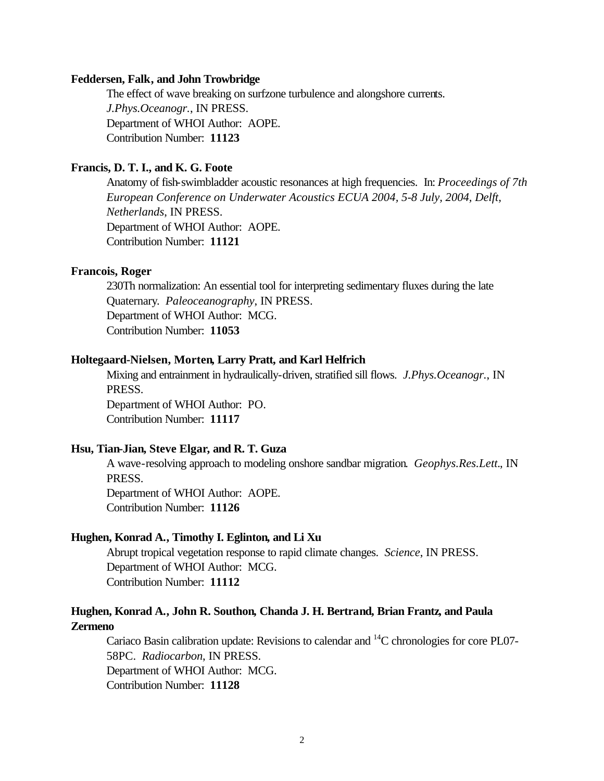#### **Feddersen, Falk, and John Trowbridge**

The effect of wave breaking on surfzone turbulence and alongshore currents. *J.Phys.Oceanogr.*, IN PRESS. Department of WHOI Author: AOPE. Contribution Number: **11123**

## **Francis, D. T. I., and K. G. Foote**

Anatomy of fish-swimbladder acoustic resonances at high frequencies. In: *Proceedings of 7th European Conference on Underwater Acoustics ECUA 2004, 5-8 July, 2004, Delft, Netherlands*, IN PRESS. Department of WHOI Author: AOPE. Contribution Number: **11121**

## **Francois, Roger**

230Th normalization: An essential tool for interpreting sedimentary fluxes during the late Quaternary. *Paleoceanography*, IN PRESS. Department of WHOI Author: MCG. Contribution Number: **11053**

#### **Holtegaard-Nielsen, Morten, Larry Pratt, and Karl Helfrich**

Mixing and entrainment in hydraulically-driven, stratified sill flows. *J.Phys.Oceanogr.*, IN PRESS. Department of WHOI Author: PO. Contribution Number: **11117**

#### **Hsu, Tian-Jian, Steve Elgar, and R. T. Guza**

A wave-resolving approach to modeling onshore sandbar migration. *Geophys.Res.Lett.*, IN PRESS. Department of WHOI Author: AOPE.

Contribution Number: **11126**

### **Hughen, Konrad A., Timothy I. Eglinton, and Li Xu**

Abrupt tropical vegetation response to rapid climate changes. *Science*, IN PRESS. Department of WHOI Author: MCG. Contribution Number: **11112**

## **Hughen, Konrad A., John R. Southon, Chanda J. H. Bertrand, Brian Frantz, and Paula Zermeno**

Cariaco Basin calibration update: Revisions to calendar and  $^{14}$ C chronologies for core PL07-58PC. *Radiocarbon*, IN PRESS. Department of WHOI Author: MCG. Contribution Number: **11128**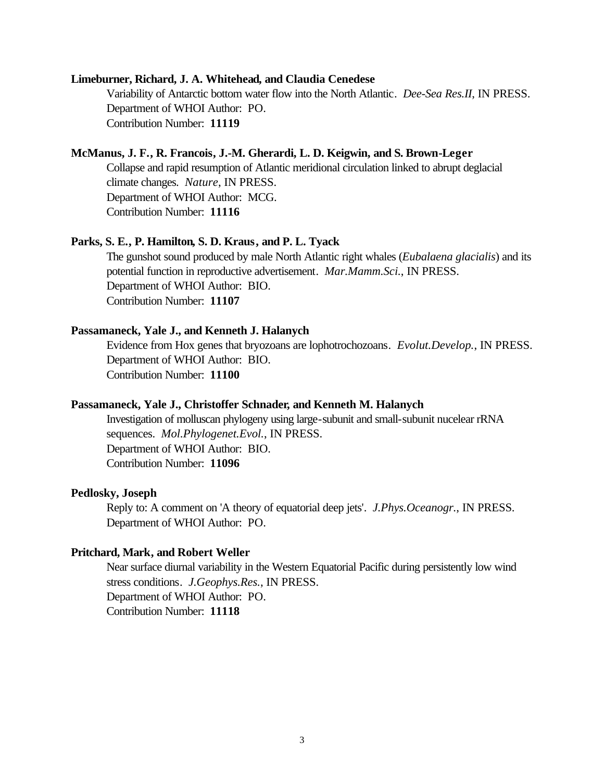#### **Limeburner, Richard, J. A. Whitehead, and Claudia Cenedese**

Variability of Antarctic bottom water flow into the North Atlantic. *Dee-Sea Res.II*, IN PRESS. Department of WHOI Author: PO. Contribution Number: **11119**

### **McManus, J. F., R. Francois, J.-M. Gherardi, L. D. Keigwin, and S. Brown-Leger**

Collapse and rapid resumption of Atlantic meridional circulation linked to abrupt deglacial climate changes. *Nature*, IN PRESS. Department of WHOI Author: MCG. Contribution Number: **11116**

#### **Parks, S. E., P. Hamilton, S. D. Kraus, and P. L. Tyack**

The gunshot sound produced by male North Atlantic right whales (*Eubalaena glacialis*) and its potential function in reproductive advertisement. *Mar.Mamm.Sci.*, IN PRESS. Department of WHOI Author: BIO. Contribution Number: **11107**

#### **Passamaneck, Yale J., and Kenneth J. Halanych**

Evidence from Hox genes that bryozoans are lophotrochozoans. *Evolut.Develop.*, IN PRESS. Department of WHOI Author: BIO. Contribution Number: **11100**

#### **Passamaneck, Yale J., Christoffer Schnader, and Kenneth M. Halanych**

Investigation of molluscan phylogeny using large-subunit and small-subunit nucelear rRNA sequences. *Mol.Phylogenet.Evol.*, IN PRESS. Department of WHOI Author: BIO. Contribution Number: **11096**

## **Pedlosky, Joseph**

Reply to: A comment on 'A theory of equatorial deep jets'. *J.Phys.Oceanogr.*, IN PRESS. Department of WHOI Author: PO.

#### **Pritchard, Mark, and Robert Weller**

Near surface diurnal variability in the Western Equatorial Pacific during persistently low wind stress conditions. *J.Geophys.Res.*, IN PRESS. Department of WHOI Author: PO. Contribution Number: **11118**